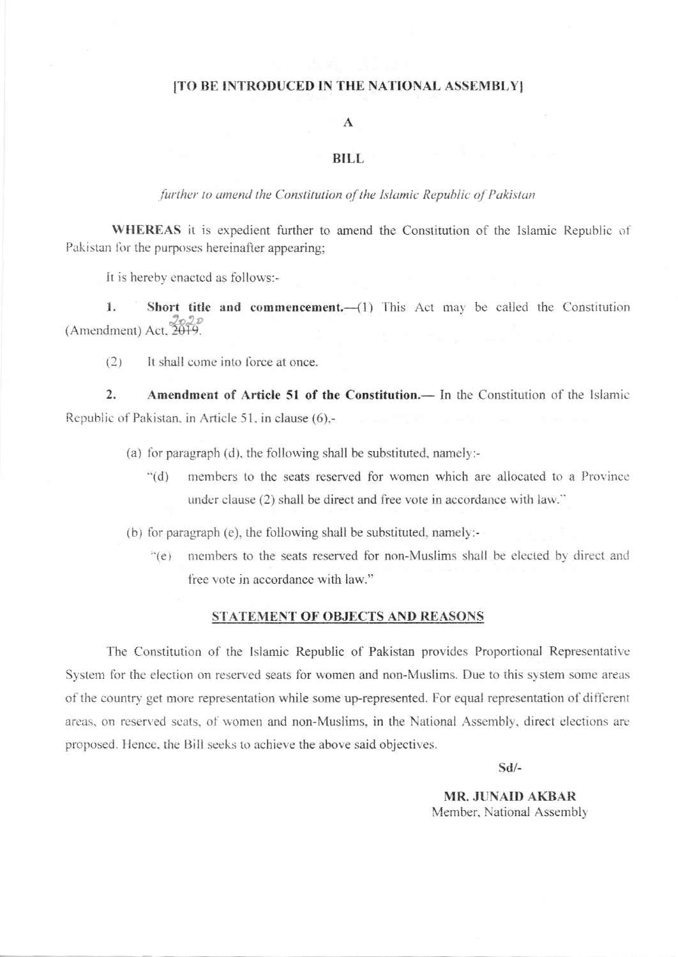## [TO BE INTRODUCED IN THE NATIONAL ASSEMBLY]

## $\mathbf A$

## **BILL**

further to amend the Constitution of the Islamic Republic of Pakistan

WHEREAS it is expedient further to amend the Constitution of the Islamic Republic of Pakistan for the purposes hereinafter appearing;

It is hereby enacted as follows:-

1. Short title and commencement.-(1) This Act may be called the Constitution (Amendment) Act. 2019.

 $(2)$ It shall come into force at once.

 $2.$ Amendment of Article 51 of the Constitution. - In the Constitution of the Islamic Republic of Pakistan, in Article 51, in clause (6),-

(a) for paragraph (d), the following shall be substituted, namely:-

members to the seats reserved for women which are allocated to a Province  $(d)$ under clause (2) shall be direct and free vote in accordance with law."

(b) for paragraph (e), the following shall be substituted, namely:-

members to the seats reserved for non-Muslims shall be elected by direct and  $\degree$ (e) free vote in accordance with law."

## STATEMENT OF OBJECTS AND REASONS

The Constitution of the Islamic Republic of Pakistan provides Proportional Representative System for the election on reserved seats for women and non-Muslims. Due to this system some areas of the country get more representation while some up-represented. For equal representation of different areas, on reserved seats, of women and non-Muslims, in the National Assembly, direct elections are proposed. Hence, the Bill seeks to achieve the above said objectives.

 $Sd/-$ 

**MR. JUNAID AKBAR** Member, National Assembly